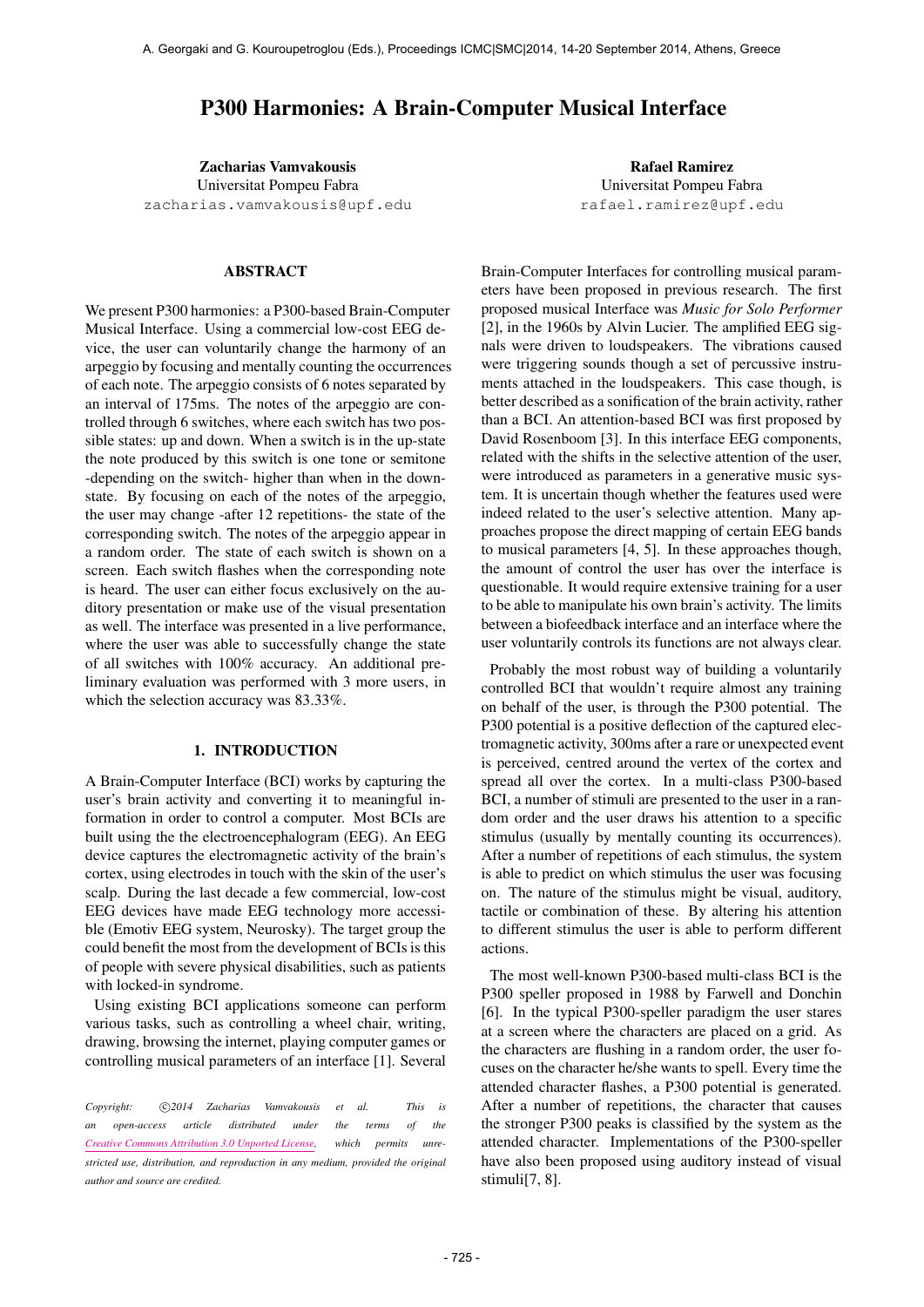# P300 Harmonies: A Brain-Computer Musical Interface

Zacharias Vamvakousis Universitat Pompeu Fabra [zacharias.vamvakousis@upf.edu](mailto:zacharias.vamvakousis@upf.edu)

## ABSTRACT

We present P300 harmonies: a P300-based Brain-Computer Musical Interface. Using a commercial low-cost EEG device, the user can voluntarily change the harmony of an arpeggio by focusing and mentally counting the occurrences of each note. The arpeggio consists of 6 notes separated by an interval of 175ms. The notes of the arpeggio are controlled through 6 switches, where each switch has two possible states: up and down. When a switch is in the up-state the note produced by this switch is one tone or semitone -depending on the switch- higher than when in the downstate. By focusing on each of the notes of the arpeggio, the user may change -after 12 repetitions- the state of the corresponding switch. The notes of the arpeggio appear in a random order. The state of each switch is shown on a screen. Each switch flashes when the corresponding note is heard. The user can either focus exclusively on the auditory presentation or make use of the visual presentation as well. The interface was presented in a live performance, where the user was able to successfully change the state of all switches with 100% accuracy. An additional preliminary evaluation was performed with 3 more users, in which the selection accuracy was 83.33%.

## 1. INTRODUCTION

A Brain-Computer Interface (BCI) works by capturing the user's brain activity and converting it to meaningful information in order to control a computer. Most BCIs are built using the the electroencephalogram (EEG). An EEG device captures the electromagnetic activity of the brain's cortex, using electrodes in touch with the skin of the user's scalp. During the last decade a few commercial, low-cost EEG devices have made EEG technology more accessible (Emotiv EEG system, Neurosky). The target group the could benefit the most from the development of BCIs is this of people with severe physical disabilities, such as patients with locked-in syndrome.

Using existing BCI applications someone can perform various tasks, such as controlling a wheel chair, writing, drawing, browsing the internet, playing computer games or controlling musical parameters of an interface [1]. Several

Rafael Ramirez Universitat Pompeu Fabra [rafael.ramirez@upf.edu](mailto:rafael.ramirez@upf.edu)

Brain-Computer Interfaces for controlling musical parameters have been proposed in previous research. The first proposed musical Interface was *Music for Solo Performer* [2], in the 1960s by Alvin Lucier. The amplified EEG signals were driven to loudspeakers. The vibrations caused were triggering sounds though a set of percussive instruments attached in the loudspeakers. This case though, is better described as a sonification of the brain activity, rather than a BCI. An attention-based BCI was first proposed by David Rosenboom [3]. In this interface EEG components, related with the shifts in the selective attention of the user, were introduced as parameters in a generative music system. It is uncertain though whether the features used were indeed related to the user's selective attention. Many approaches propose the direct mapping of certain EEG bands to musical parameters [4, 5]. In these approaches though, the amount of control the user has over the interface is questionable. It would require extensive training for a user to be able to manipulate his own brain's activity. The limits between a biofeedback interface and an interface where the user voluntarily controls its functions are not always clear.

Probably the most robust way of building a voluntarily controlled BCI that wouldn't require almost any training on behalf of the user, is through the P300 potential. The P300 potential is a positive deflection of the captured electromagnetic activity, 300ms after a rare or unexpected event is perceived, centred around the vertex of the cortex and spread all over the cortex. In a multi-class P300-based BCI, a number of stimuli are presented to the user in a random order and the user draws his attention to a specific stimulus (usually by mentally counting its occurrences). After a number of repetitions of each stimulus, the system is able to predict on which stimulus the user was focusing on. The nature of the stimulus might be visual, auditory, tactile or combination of these. By altering his attention to different stimulus the user is able to perform different actions.

The most well-known P300-based multi-class BCI is the P300 speller proposed in 1988 by Farwell and Donchin [6]. In the typical P300-speller paradigm the user stares at a screen where the characters are placed on a grid. As the characters are flushing in a random order, the user focuses on the character he/she wants to spell. Every time the attended character flashes, a P300 potential is generated. After a number of repetitions, the character that causes the stronger P300 peaks is classified by the system as the attended character. Implementations of the P300-speller have also been proposed using auditory instead of visual stimuli[7, 8].

Copyright:  $\bigcirc$ 2014 Zacharias Vamvakousis et al. This is *an open-access article distributed under the terms of the [Creative Commons Attribution 3.0 Unported License,](http://creativecommons.org/licenses/by/3.0/) which permits unrestricted use, distribution, and reproduction in any medium, provided the original author and source are credited.*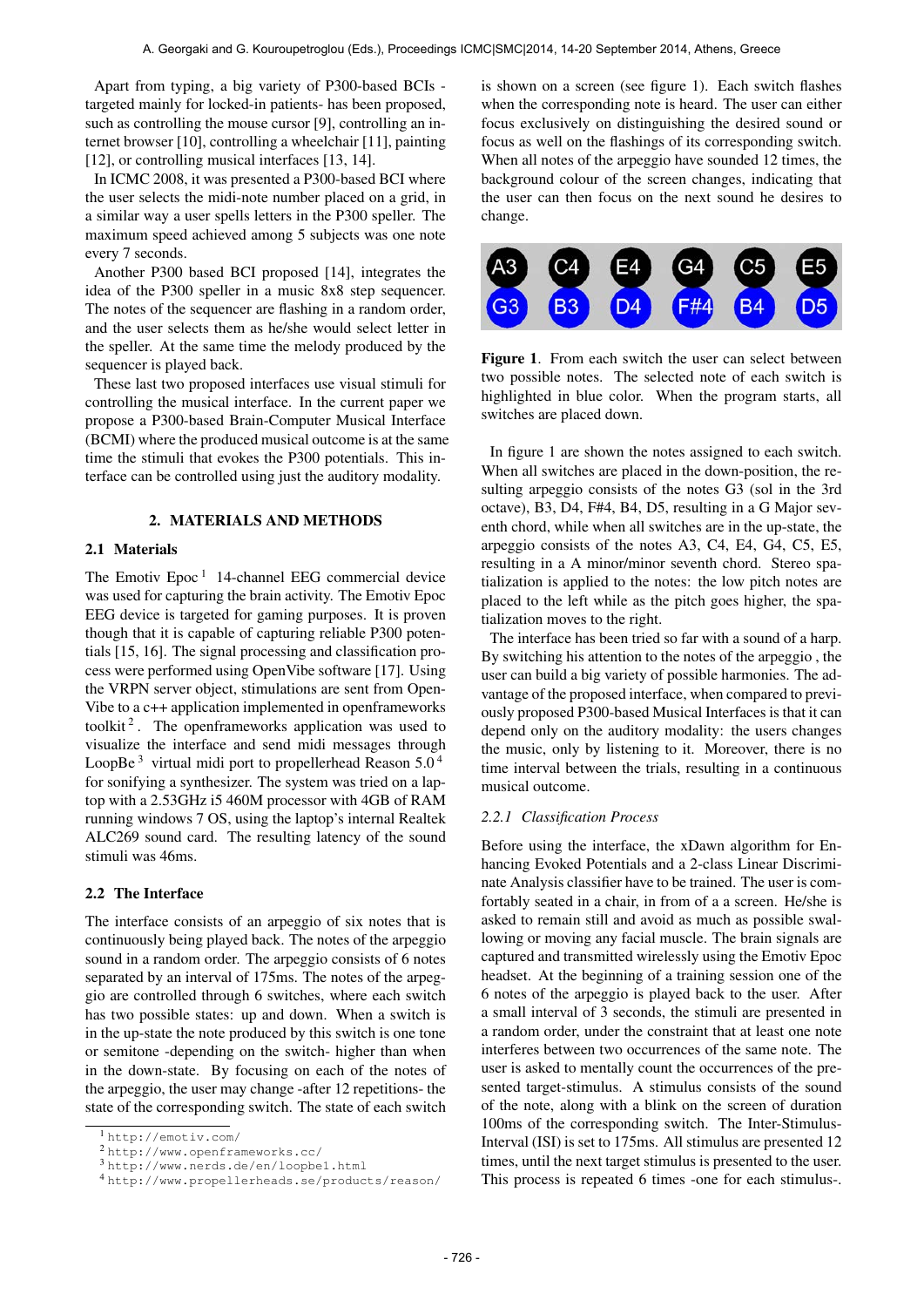Apart from typing, a big variety of P300-based BCIs targeted mainly for locked-in patients- has been proposed, such as controlling the mouse cursor [9], controlling an internet browser [10], controlling a wheelchair [11], painting [12], or controlling musical interfaces [13, 14].

In ICMC 2008, it was presented a P300-based BCI where the user selects the midi-note number placed on a grid, in a similar way a user spells letters in the P300 speller. The maximum speed achieved among 5 subjects was one note every 7 seconds.

Another P300 based BCI proposed [14], integrates the idea of the P300 speller in a music 8x8 step sequencer. The notes of the sequencer are flashing in a random order, and the user selects them as he/she would select letter in the speller. At the same time the melody produced by the sequencer is played back.

These last two proposed interfaces use visual stimuli for controlling the musical interface. In the current paper we propose a P300-based Brain-Computer Musical Interface (BCMI) where the produced musical outcome is at the same time the stimuli that evokes the P300 potentials. This interface can be controlled using just the auditory modality.

## 2. MATERIALS AND METHODS

## 2.1 Materials

The Emotiv Epoc<sup>1</sup> 14-channel EEG commercial device was used for capturing the brain activity. The Emotiv Epoc EEG device is targeted for gaming purposes. It is proven though that it is capable of capturing reliable P300 potentials [15, 16]. The signal processing and classification process were performed using OpenVibe software [17]. Using the VRPN server object, stimulations are sent from Open-Vibe to a c++ application implemented in openframeworks toolkit<sup>2</sup>. The openframeworks application was used to visualize the interface and send midi messages through LoopBe<sup>3</sup> virtual midi port to propellerhead Reason  $5.0<sup>4</sup>$ for sonifying a synthesizer. The system was tried on a laptop with a 2.53GHz i5 460M processor with 4GB of RAM running windows 7 OS, using the laptop's internal Realtek ALC269 sound card. The resulting latency of the sound stimuli was 46ms.

## 2.2 The Interface

The interface consists of an arpeggio of six notes that is continuously being played back. The notes of the arpeggio sound in a random order. The arpeggio consists of 6 notes separated by an interval of 175ms. The notes of the arpeggio are controlled through 6 switches, where each switch has two possible states: up and down. When a switch is in the up-state the note produced by this switch is one tone or semitone -depending on the switch- higher than when in the down-state. By focusing on each of the notes of the arpeggio, the user may change -after 12 repetitions- the state of the corresponding switch. The state of each switch is shown on a screen (see figure 1). Each switch flashes when the corresponding note is heard. The user can either focus exclusively on distinguishing the desired sound or focus as well on the flashings of its corresponding switch. When all notes of the arpeggio have sounded 12 times, the background colour of the screen changes, indicating that the user can then focus on the next sound he desires to change.



Figure 1. From each switch the user can select between two possible notes. The selected note of each switch is highlighted in blue color. When the program starts, all switches are placed down.

In figure 1 are shown the notes assigned to each switch. When all switches are placed in the down-position, the resulting arpeggio consists of the notes G3 (sol in the 3rd octave), B3, D4, F#4, B4, D5, resulting in a G Major seventh chord, while when all switches are in the up-state, the arpeggio consists of the notes A3, C4, E4, G4, C5, E5, resulting in a A minor/minor seventh chord. Stereo spatialization is applied to the notes: the low pitch notes are placed to the left while as the pitch goes higher, the spatialization moves to the right.

The interface has been tried so far with a sound of a harp. By switching his attention to the notes of the arpeggio , the user can build a big variety of possible harmonies. The advantage of the proposed interface, when compared to previously proposed P300-based Musical Interfaces is that it can depend only on the auditory modality: the users changes the music, only by listening to it. Moreover, there is no time interval between the trials, resulting in a continuous musical outcome.

#### *2.2.1 Classification Process*

Before using the interface, the xDawn algorithm for Enhancing Evoked Potentials and a 2-class Linear Discriminate Analysis classifier have to be trained. The user is comfortably seated in a chair, in from of a a screen. He/she is asked to remain still and avoid as much as possible swallowing or moving any facial muscle. The brain signals are captured and transmitted wirelessly using the Emotiv Epoc headset. At the beginning of a training session one of the 6 notes of the arpeggio is played back to the user. After a small interval of 3 seconds, the stimuli are presented in a random order, under the constraint that at least one note interferes between two occurrences of the same note. The user is asked to mentally count the occurrences of the presented target-stimulus. A stimulus consists of the sound of the note, along with a blink on the screen of duration 100ms of the corresponding switch. The Inter-Stimulus-Interval (ISI) is set to 175ms. All stimulus are presented 12 times, until the next target stimulus is presented to the user. This process is repeated 6 times -one for each stimulus-.

<sup>1</sup> <http://emotiv.com/>

<sup>2</sup> <http://www.openframeworks.cc/>

<sup>3</sup> <http://www.nerds.de/en/loopbe1.html>

<sup>4</sup> <http://www.propellerheads.se/products/reason/>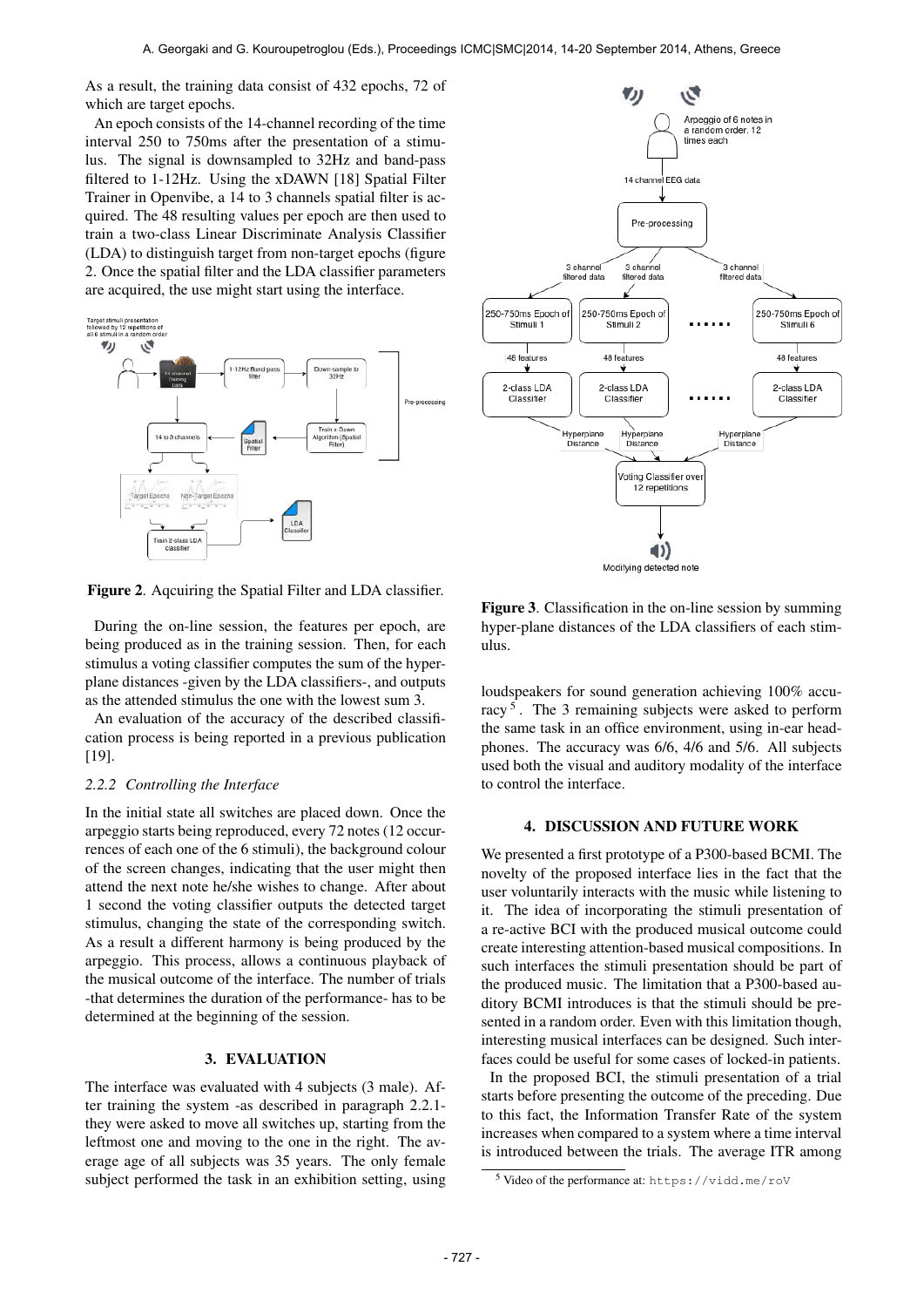As a result, the training data consist of 432 epochs, 72 of which are target epochs.

An epoch consists of the 14-channel recording of the time interval 250 to 750ms after the presentation of a stimulus. The signal is downsampled to 32Hz and band-pass filtered to 1-12Hz. Using the xDAWN [18] Spatial Filter Trainer in Openvibe, a 14 to 3 channels spatial filter is acquired. The 48 resulting values per epoch are then used to train a two-class Linear Discriminate Analysis Classifier (LDA) to distinguish target from non-target epochs (figure 2. Once the spatial filter and the LDA classifier parameters are acquired, the use might start using the interface.



Figure 2. Aqcuiring the Spatial Filter and LDA classifier.

During the on-line session, the features per epoch, are being produced as in the training session. Then, for each stimulus a voting classifier computes the sum of the hyperplane distances -given by the LDA classifiers-, and outputs as the attended stimulus the one with the lowest sum 3.

An evaluation of the accuracy of the described classification process is being reported in a previous publication [19].

## *2.2.2 Controlling the Interface*

In the initial state all switches are placed down. Once the arpeggio starts being reproduced, every 72 notes (12 occurrences of each one of the 6 stimuli), the background colour of the screen changes, indicating that the user might then attend the next note he/she wishes to change. After about 1 second the voting classifier outputs the detected target stimulus, changing the state of the corresponding switch. As a result a different harmony is being produced by the arpeggio. This process, allows a continuous playback of the musical outcome of the interface. The number of trials -that determines the duration of the performance- has to be determined at the beginning of the session.

#### 3. EVALUATION

The interface was evaluated with 4 subjects (3 male). After training the system -as described in paragraph 2.2.1 they were asked to move all switches up, starting from the leftmost one and moving to the one in the right. The average age of all subjects was 35 years. The only female subject performed the task in an exhibition setting, using



Figure 3. Classification in the on-line session by summing hyper-plane distances of the LDA classifiers of each stimulus.

loudspeakers for sound generation achieving 100% accuracy<sup>5</sup>. The 3 remaining subjects were asked to perform the same task in an office environment, using in-ear headphones. The accuracy was 6/6, 4/6 and 5/6. All subjects used both the visual and auditory modality of the interface to control the interface.

#### 4. DISCUSSION AND FUTURE WORK

We presented a first prototype of a P300-based BCMI. The novelty of the proposed interface lies in the fact that the user voluntarily interacts with the music while listening to it. The idea of incorporating the stimuli presentation of a re-active BCI with the produced musical outcome could create interesting attention-based musical compositions. In such interfaces the stimuli presentation should be part of the produced music. The limitation that a P300-based auditory BCMI introduces is that the stimuli should be presented in a random order. Even with this limitation though, interesting musical interfaces can be designed. Such interfaces could be useful for some cases of locked-in patients.

In the proposed BCI, the stimuli presentation of a trial starts before presenting the outcome of the preceding. Due to this fact, the Information Transfer Rate of the system increases when compared to a system where a time interval is introduced between the trials. The average ITR among

<sup>5</sup> Video of the performance at: <https://vidd.me/roV>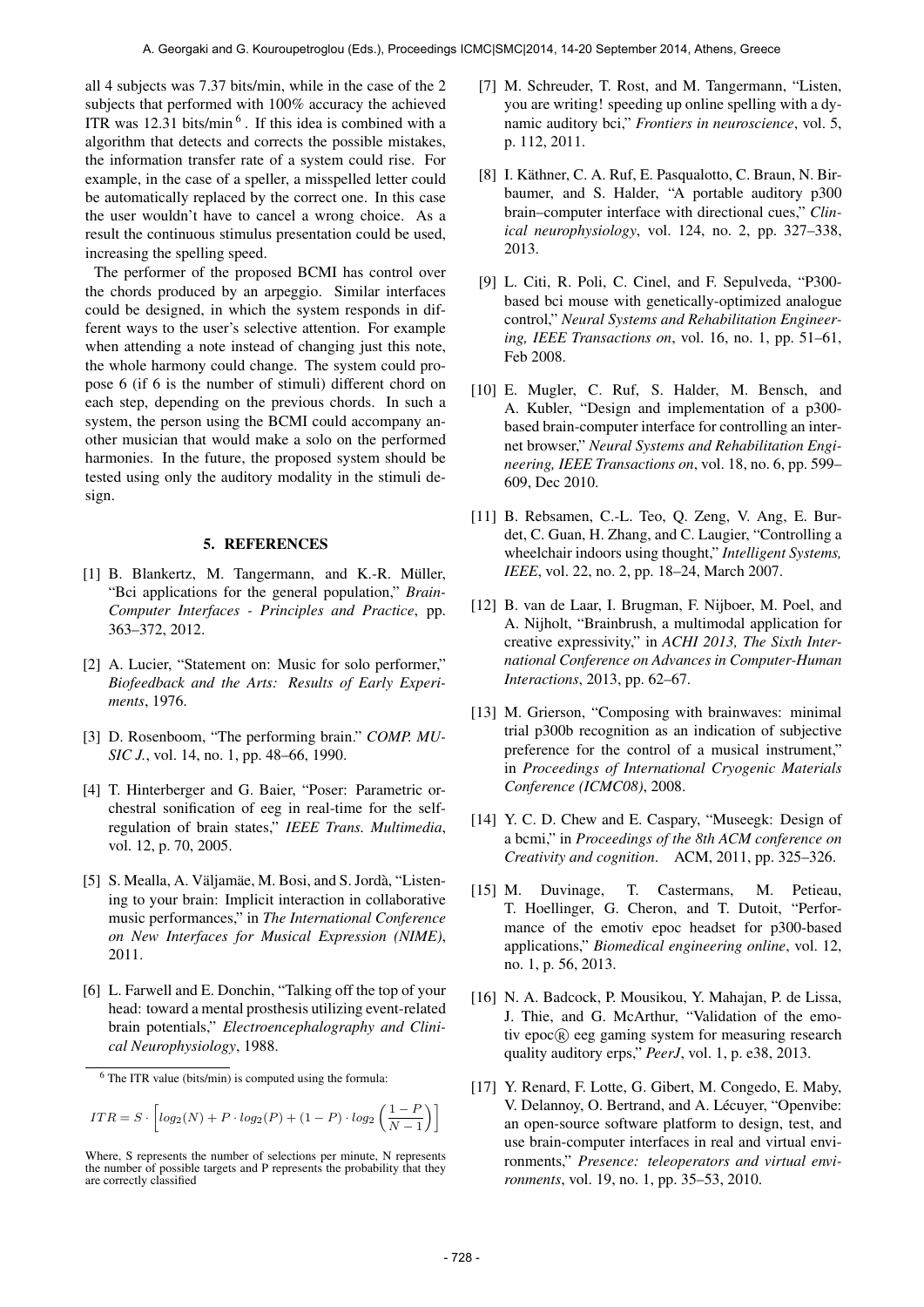all 4 subjects was 7.37 bits/min, while in the case of the 2 subjects that performed with 100% accuracy the achieved ITR was  $12.31$  bits/min<sup>6</sup>. If this idea is combined with a algorithm that detects and corrects the possible mistakes, the information transfer rate of a system could rise. For example, in the case of a speller, a misspelled letter could be automatically replaced by the correct one. In this case the user wouldn't have to cancel a wrong choice. As a result the continuous stimulus presentation could be used, increasing the spelling speed.

The performer of the proposed BCMI has control over the chords produced by an arpeggio. Similar interfaces could be designed, in which the system responds in different ways to the user's selective attention. For example when attending a note instead of changing just this note, the whole harmony could change. The system could propose 6 (if 6 is the number of stimuli) different chord on each step, depending on the previous chords. In such a system, the person using the BCMI could accompany another musician that would make a solo on the performed harmonies. In the future, the proposed system should be tested using only the auditory modality in the stimuli design.

## 5. REFERENCES

- [1] B. Blankertz, M. Tangermann, and K.-R. Müller, "Bci applications for the general population," *Brain-Computer Interfaces - Principles and Practice*, pp. 363–372, 2012.
- [2] A. Lucier, "Statement on: Music for solo performer," *Biofeedback and the Arts: Results of Early Experiments*, 1976.
- [3] D. Rosenboom, "The performing brain." *COMP. MU-SIC J.*, vol. 14, no. 1, pp. 48–66, 1990.
- [4] T. Hinterberger and G. Baier, "Poser: Parametric orchestral sonification of eeg in real-time for the selfregulation of brain states," *IEEE Trans. Multimedia*, vol. 12, p. 70, 2005.
- [5] S. Mealla, A. Väljamäe, M. Bosi, and S. Jordà, "Listening to your brain: Implicit interaction in collaborative music performances," in *The International Conference on New Interfaces for Musical Expression (NIME)*, 2011.
- [6] L. Farwell and E. Donchin, "Talking off the top of your head: toward a mental prosthesis utilizing event-related brain potentials," *Electroencephalography and Clinical Neurophysiology*, 1988.

$$
ITR = S \cdot \left[ log_2(N) + P \cdot log_2(P) + (1 - P) \cdot log_2\left(\frac{1 - P}{N - 1}\right) \right]
$$

- [7] M. Schreuder, T. Rost, and M. Tangermann, "Listen, you are writing! speeding up online spelling with a dynamic auditory bci," *Frontiers in neuroscience*, vol. 5, p. 112, 2011.
- [8] I. Käthner, C. A. Ruf, E. Pasqualotto, C. Braun, N. Birbaumer, and S. Halder, "A portable auditory p300 brain–computer interface with directional cues," *Clinical neurophysiology*, vol. 124, no. 2, pp. 327–338, 2013.
- [9] L. Citi, R. Poli, C. Cinel, and F. Sepulveda, "P300 based bci mouse with genetically-optimized analogue control," *Neural Systems and Rehabilitation Engineering, IEEE Transactions on*, vol. 16, no. 1, pp. 51–61, Feb 2008.
- [10] E. Mugler, C. Ruf, S. Halder, M. Bensch, and A. Kubler, "Design and implementation of a p300 based brain-computer interface for controlling an internet browser," *Neural Systems and Rehabilitation Engineering, IEEE Transactions on*, vol. 18, no. 6, pp. 599– 609, Dec 2010.
- [11] B. Rebsamen, C.-L. Teo, Q. Zeng, V. Ang, E. Burdet, C. Guan, H. Zhang, and C. Laugier, "Controlling a wheelchair indoors using thought," *Intelligent Systems, IEEE*, vol. 22, no. 2, pp. 18–24, March 2007.
- [12] B. van de Laar, I. Brugman, F. Nijboer, M. Poel, and A. Nijholt, "Brainbrush, a multimodal application for creative expressivity," in *ACHI 2013, The Sixth International Conference on Advances in Computer-Human Interactions*, 2013, pp. 62–67.
- [13] M. Grierson, "Composing with brainwaves: minimal trial p300b recognition as an indication of subjective preference for the control of a musical instrument," in *Proceedings of International Cryogenic Materials Conference (ICMC08)*, 2008.
- [14] Y. C. D. Chew and E. Caspary, "Museegk: Design of a bcmi," in *Proceedings of the 8th ACM conference on Creativity and cognition*. ACM, 2011, pp. 325–326.
- [15] M. Duvinage, T. Castermans, M. Petieau, T. Hoellinger, G. Cheron, and T. Dutoit, "Performance of the emotiv epoc headset for p300-based applications," *Biomedical engineering online*, vol. 12, no. 1, p. 56, 2013.
- [16] N. A. Badcock, P. Mousikou, Y. Mahajan, P. de Lissa, J. Thie, and G. McArthur, "Validation of the emotiv epoc <sup>R</sup> eeg gaming system for measuring research quality auditory erps," *PeerJ*, vol. 1, p. e38, 2013.
- [17] Y. Renard, F. Lotte, G. Gibert, M. Congedo, E. Maby, V. Delannoy, O. Bertrand, and A. Lécuyer, "Openvibe: an open-source software platform to design, test, and use brain-computer interfaces in real and virtual environments," *Presence: teleoperators and virtual environments*, vol. 19, no. 1, pp. 35–53, 2010.

 $6$  The ITR value (bits/min) is computed using the formula:

Where, S represents the number of selections per minute, N represents the number of possible targets and P represents the probability that they are correctly classified